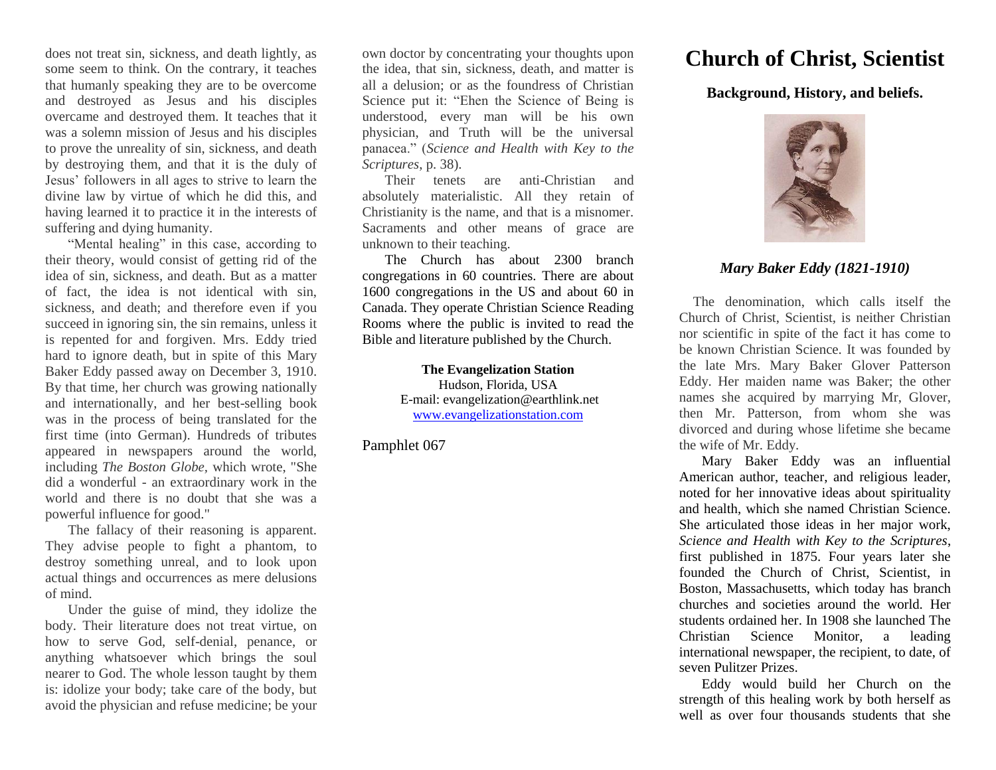does not treat sin, sickness, and death lightly, as some seem to think. On the contrary, it teaches that humanly speaking they are to be overcome and destroyed as Jesus and his disciples overcame and destroyed them. It teaches that it was a solemn mission of Jesus and his disciples to prove the unreality of sin, sickness, and death by destroying them, and that it is the duly of Jesus' followers in all ages to strive to learn the divine law by virtue of which he did this, and having learned it to practice it in the interests of suffering and dying humanity.

"Mental healing" in this case, according to their theory, would consist of getting rid of the idea of sin, sickness, and death. But as a matter of fact, the idea is not identical with sin, sickness, and death; and therefore even if you succeed in ignoring sin, the sin remains, unless it is repented for and forgiven. Mrs. Eddy tried hard to ignore death, but in spite of this Mary Baker Eddy passed away on December 3, 1910. By that time, her church was growing nationally and internationally, and her best-selling book was in the process of being translated for the first time (into German). Hundreds of tributes appeared in newspapers around the world, including *The Boston Globe,* which wrote, "She did a wonderful - an extraordinary work in the world and there is no doubt that she was a powerful influence for good."

The fallacy of their reasoning is apparent. They advise people to fight a phantom, to destroy something unreal, and to look upon actual things and occurrences as mere delusions of mind.

Under the guise of mind, they idolize the body. Their literature does not treat virtue, on how to serve God, self-denial, penance, or anything whatsoever which brings the soul nearer to God. The whole lesson taught by them is: idolize your body; take care of the body, but avoid the physician and refuse medicine; be your

own doctor by concentrating your thoughts upon the idea, that sin, sickness, death, and matter is all a delusion; or as the foundress of Christian Science put it: "Ehen the Science of Being is understood, every man will be his own physician, and Truth will be the universal panacea." (*Science and Health with Key to the Scriptures*, p. 38).

Their tenets are anti-Christian and absolutely materialistic. All they retain of Christianity is the name, and that is a misnomer. Sacraments and other means of grace are unknown to their teaching.

The Church has about 2300 branch congregations in 60 countries. There are about 1600 congregations in the US and about 60 in Canada. They operate Christian Science Reading Rooms where the public is invited to read the Bible and literature published by the Church.

> **The Evangelization Station** Hudson, Florida, USA E-mail: evangelization@earthlink.net [www.evangelizationstation.com](http://www.pjpiisoe.org/)

Pamphlet 067

## **Church of Christ, Scientist**

**Background, History, and beliefs.**



## *Mary Baker Eddy (1821-1910)*

 The denomination, which calls itself the Church of Christ, Scientist, is neither Christian nor scientific in spite of the fact it has come to be known Christian Science. It was founded by the late Mrs. Mary Baker Glover Patterson Eddy. Her maiden name was Baker; the other names she acquired by marrying Mr, Glover, then Mr. Patterson, from whom she was divorced and during whose lifetime she became the wife of Mr. Eddy.

Mary Baker Eddy was an influential American author, teacher, and religious leader, noted for her innovative ideas about spirituality and health, which she named Christian Science. She articulated those ideas in her major work, *Science and Health with Key to the Scriptures*, first published in 1875. Four years later she founded the Church of Christ, Scientist, in Boston, Massachusetts, which today has branch churches and societies around the world. Her students ordained her. In 1908 she launched The Christian Science Monitor, a leading international newspaper, the recipient, to date, of seven Pulitzer Prizes.

Eddy would build her Church on the strength of this healing work by both herself as well as over four thousands students that she